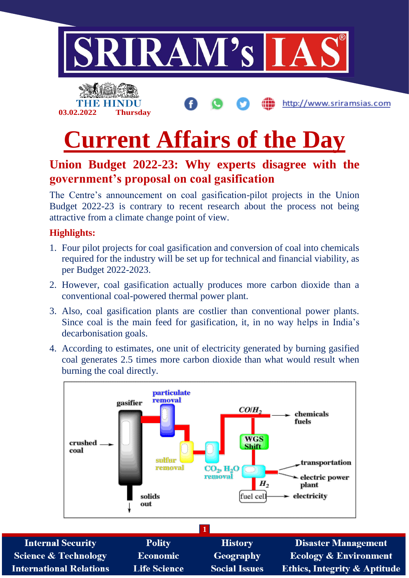



http://www.sriramsias.com

# **Current Affairs of the Day**

## **Union Budget 2022-23: Why experts disagree with the government's proposal on coal gasification**

The Centre's announcement on coal gasification-pilot projects in the Union Budget 2022-23 is contrary to recent research about the process not being attractive from a climate change point of view.

#### **Highlights:**

- 1. Four pilot projects for coal gasification and conversion of coal into chemicals required for the industry will be set up for technical and financial viability, as per Budget 2022-2023.
- 2. However, coal gasification actually produces more carbon dioxide than a conventional coal-powered thermal power plant.
- 3. Also, coal gasification plants are costlier than conventional power plants. Since coal is the main feed for gasification, it, in no way helps in India's decarbonisation goals.
- 4. According to estimates, one unit of electricity generated by burning gasified coal generates 2.5 times more carbon dioxide than what would result when burning the coal directly.



| <b>Internal Security</b>        | <b>Polity</b>       | <b>History</b>       | <b>Disaster Management</b>              |  |  |  |
|---------------------------------|---------------------|----------------------|-----------------------------------------|--|--|--|
| <b>Science &amp; Technology</b> | <b>Economic</b>     | <b>Geography</b>     | <b>Ecology &amp; Environment</b>        |  |  |  |
| <b>International Relations</b>  | <b>Life Science</b> | <b>Social Issues</b> | <b>Ethics, Integrity &amp; Aptitude</b> |  |  |  |
|                                 |                     |                      |                                         |  |  |  |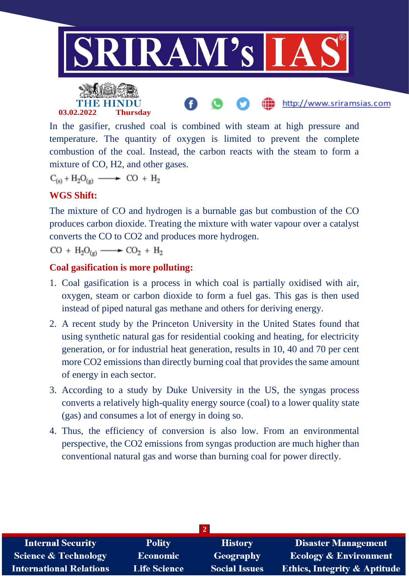

In the gasifier, crushed coal is combined with steam at high pressure and temperature. The quantity of oxygen is limited to prevent the complete combustion of the coal. Instead, the carbon reacts with the steam to form a mixture of CO, H2, and other gases.

 $C_{(s)} + H_2O_{(g)} \longrightarrow CO + H_2$ 

### **WGS Shift:**

The mixture of CO and hydrogen is a burnable gas but combustion of the CO produces carbon dioxide. Treating the mixture with water vapour over a catalyst converts the CO to CO2 and produces more hydrogen.

 $CO + H_2O_{(a)} \longrightarrow CO_2 + H_2$ 

#### **Coal gasification is more polluting:**

- 1. Coal gasification is a process in which coal is partially oxidised with air, oxygen, steam or carbon dioxide to form a fuel gas. This gas is then used instead of piped natural gas methane and others for deriving energy.
- 2. A recent study by the Princeton University in the United States found that using synthetic natural gas for residential cooking and heating, for electricity generation, or for industrial heat generation, results in 10, 40 and 70 per cent more CO2 emissions than directly burning coal that provides the same amount of energy in each sector.
- 3. According to a study by Duke University in the US, the syngas process converts a relatively high-quality energy source (coal) to a lower quality state (gas) and consumes a lot of energy in doing so.
- 4. Thus, the efficiency of conversion is also low. From an environmental perspective, the CO2 emissions from syngas production are much higher than conventional natural gas and worse than burning coal for power directly.

| <b>Internal Security</b>        | <b>Polity</b>       | <b>History</b>       | <b>Disaster Management</b>              |  |  |  |
|---------------------------------|---------------------|----------------------|-----------------------------------------|--|--|--|
| <b>Science &amp; Technology</b> | Economic            | Geography            | <b>Ecology &amp; Environment</b>        |  |  |  |
| <b>International Relations</b>  | <b>Life Science</b> | <b>Social Issues</b> | <b>Ethics, Integrity &amp; Aptitude</b> |  |  |  |